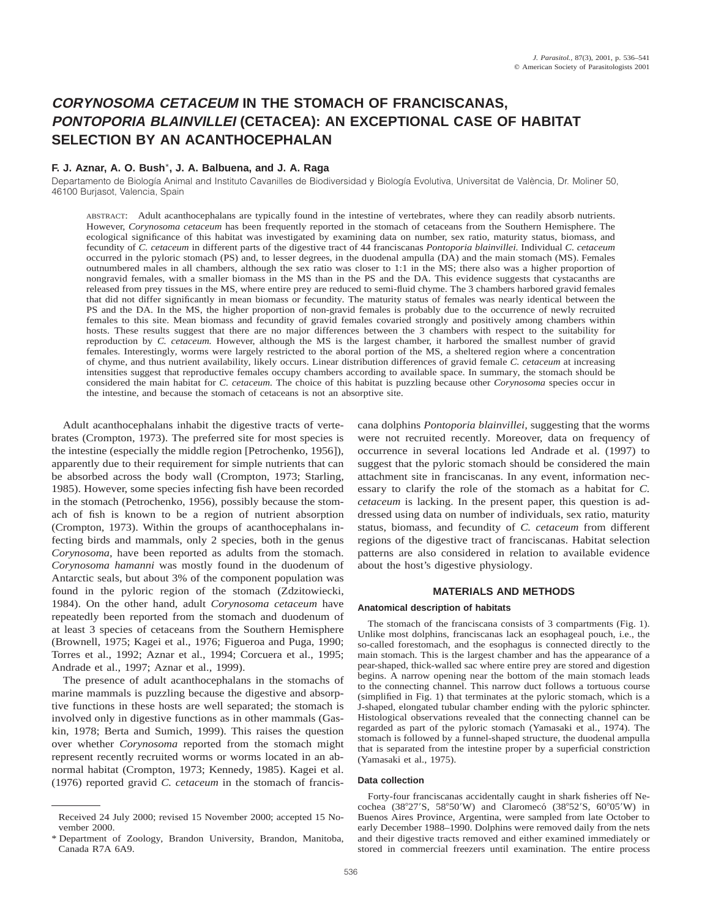# **CORYNOSOMA CETACEUM IN THE STOMACH OF FRANCISCANAS, PONTOPORIA BLAINVILLEI (CETACEA): AN EXCEPTIONAL CASE OF HABITAT SELECTION BY AN ACANTHOCEPHALAN**

# **F. J. Aznar, A. O. Bush**\***, J. A. Balbuena, and J. A. Raga**

Departamento de Biología Animal and Instituto Cavanilles de Biodiversidad y Biología Evolutiva, Universitat de València, Dr. Moliner 50, 46100 Burjasot, Valencia, Spain

ABSTRACT: Adult acanthocephalans are typically found in the intestine of vertebrates, where they can readily absorb nutrients. However, *Corynosoma cetaceum* has been frequently reported in the stomach of cetaceans from the Southern Hemisphere. The ecological significance of this habitat was investigated by examining data on number, sex ratio, maturity status, biomass, and fecundity of *C. cetaceum* in different parts of the digestive tract of 44 franciscanas *Pontoporia blainvillei.* Individual *C. cetaceum* occurred in the pyloric stomach (PS) and, to lesser degrees, in the duodenal ampulla (DA) and the main stomach (MS). Females outnumbered males in all chambers, although the sex ratio was closer to 1:1 in the MS; there also was a higher proportion of nongravid females, with a smaller biomass in the MS than in the PS and the DA. This evidence suggests that cystacanths are released from prey tissues in the MS, where entire prey are reduced to semi-fluid chyme. The 3 chambers harbored gravid females that did not differ significantly in mean biomass or fecundity. The maturity status of females was nearly identical between the PS and the DA. In the MS, the higher proportion of non-gravid females is probably due to the occurrence of newly recruited females to this site. Mean biomass and fecundity of gravid females covaried strongly and positively among chambers within hosts. These results suggest that there are no major differences between the 3 chambers with respect to the suitability for reproduction by *C. cetaceum.* However, although the MS is the largest chamber, it harbored the smallest number of gravid females. Interestingly, worms were largely restricted to the aboral portion of the MS, a sheltered region where a concentration of chyme, and thus nutrient availability, likely occurs. Linear distribution differences of gravid female *C. cetaceum* at increasing intensities suggest that reproductive females occupy chambers according to available space. In summary, the stomach should be considered the main habitat for *C. cetaceum.* The choice of this habitat is puzzling because other *Corynosoma* species occur in the intestine, and because the stomach of cetaceans is not an absorptive site.

Adult acanthocephalans inhabit the digestive tracts of vertebrates (Crompton, 1973). The preferred site for most species is the intestine (especially the middle region [Petrochenko, 1956]), apparently due to their requirement for simple nutrients that can be absorbed across the body wall (Crompton, 1973; Starling, 1985). However, some species infecting fish have been recorded in the stomach (Petrochenko, 1956), possibly because the stomach of fish is known to be a region of nutrient absorption (Crompton, 1973). Within the groups of acanthocephalans infecting birds and mammals, only 2 species, both in the genus *Corynosoma,* have been reported as adults from the stomach. *Corynosoma hamanni* was mostly found in the duodenum of Antarctic seals, but about 3% of the component population was found in the pyloric region of the stomach (Zdzitowiecki, 1984). On the other hand, adult *Corynosoma cetaceum* have repeatedly been reported from the stomach and duodenum of at least 3 species of cetaceans from the Southern Hemisphere (Brownell, 1975; Kagei et al., 1976; Figueroa and Puga, 1990; Torres et al., 1992; Aznar et al., 1994; Corcuera et al., 1995; Andrade et al., 1997; Aznar et al., 1999).

The presence of adult acanthocephalans in the stomachs of marine mammals is puzzling because the digestive and absorptive functions in these hosts are well separated; the stomach is involved only in digestive functions as in other mammals (Gaskin, 1978; Berta and Sumich, 1999). This raises the question over whether *Corynosoma* reported from the stomach might represent recently recruited worms or worms located in an abnormal habitat (Crompton, 1973; Kennedy, 1985). Kagei et al. (1976) reported gravid *C. cetaceum* in the stomach of franciscana dolphins *Pontoporia blainvillei,* suggesting that the worms were not recruited recently. Moreover, data on frequency of occurrence in several locations led Andrade et al. (1997) to suggest that the pyloric stomach should be considered the main attachment site in franciscanas. In any event, information necessary to clarify the role of the stomach as a habitat for *C. cetaceum* is lacking. In the present paper, this question is addressed using data on number of individuals, sex ratio, maturity status, biomass, and fecundity of *C. cetaceum* from different regions of the digestive tract of franciscanas. Habitat selection patterns are also considered in relation to available evidence about the host's digestive physiology.

# **MATERIALS AND METHODS**

#### **Anatomical description of habitats**

The stomach of the franciscana consists of 3 compartments (Fig. 1). Unlike most dolphins, franciscanas lack an esophageal pouch, i.e., the so-called forestomach, and the esophagus is connected directly to the main stomach. This is the largest chamber and has the appearance of a pear-shaped, thick-walled sac where entire prey are stored and digestion begins. A narrow opening near the bottom of the main stomach leads to the connecting channel. This narrow duct follows a tortuous course (simplified in Fig. 1) that terminates at the pyloric stomach, which is a J-shaped, elongated tubular chamber ending with the pyloric sphincter. Histological observations revealed that the connecting channel can be regarded as part of the pyloric stomach (Yamasaki et al., 1974). The stomach is followed by a funnel-shaped structure, the duodenal ampulla that is separated from the intestine proper by a superficial constriction (Yamasaki et al., 1975).

### **Data collection**

Forty-four franciscanas accidentally caught in shark fisheries off Necochea  $(38^{\circ}27'S, 58^{\circ}50'W)$  and Claromecó  $(38^{\circ}52'S, 60^{\circ}05'W)$  in Buenos Aires Province, Argentina, were sampled from late October to early December 1988–1990. Dolphins were removed daily from the nets and their digestive tracts removed and either examined immediately or stored in commercial freezers until examination. The entire process

Received 24 July 2000; revised 15 November 2000; accepted 15 November 2000.

<sup>\*</sup> Department of Zoology, Brandon University, Brandon, Manitoba, Canada R7A 6A9.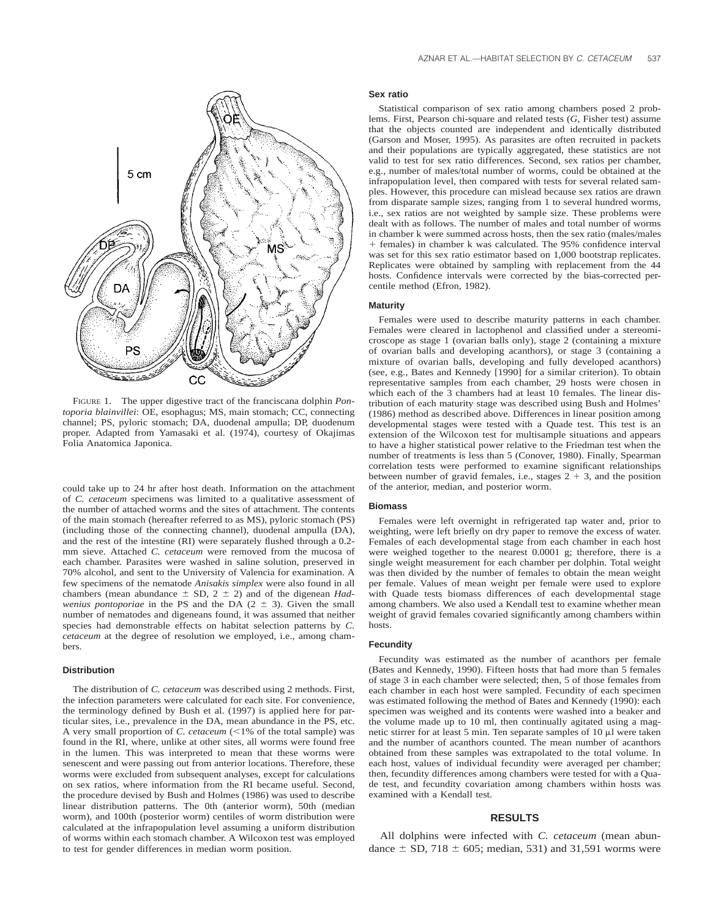

FIGURE 1. The upper digestive tract of the franciscana dolphin *Pontoporia blainvillei*: OE, esophagus; MS, main stomach; CC, connecting channel; PS, pyloric stomach; DA, duodenal ampulla; DP, duodenum proper. Adapted from Yamasaki et al. (1974), courtesy of Okajimas Folia Anatomica Japonica.

could take up to 24 hr after host death. Information on the attachment of *C. cetaceum* specimens was limited to a qualitative assessment of the number of attached worms and the sites of attachment. The contents of the main stomach (hereafter referred to as MS), pyloric stomach (PS) (including those of the connecting channel), duodenal ampulla (DA), and the rest of the intestine (RI) were separately flushed through a 0.2 mm sieve. Attached *C. cetaceum* were removed from the mucosa of each chamber. Parasites were washed in saline solution, preserved in 70% alcohol, and sent to the University of Valencia for examination. A few specimens of the nematode *Anisakis simplex* were also found in all chambers (mean abundance  $\pm$  SD, 2  $\pm$  2) and of the digenean *Hadwenius pontoporiae* in the PS and the DA  $(2 \pm 3)$ . Given the small number of nematodes and digeneans found, it was assumed that neither species had demonstrable effects on habitat selection patterns by *C. cetaceum* at the degree of resolution we employed, i.e., among chambers.

## **Distribution**

The distribution of *C. cetaceum* was described using 2 methods. First, the infection parameters were calculated for each site. For convenience, the terminology defined by Bush et al. (1997) is applied here for particular sites, i.e., prevalence in the DA, mean abundance in the PS, etc. A very small proportion of *C. cetaceum*  $\langle 1\%$  of the total sample) was found in the RI, where, unlike at other sites, all worms were found free in the lumen. This was interpreted to mean that these worms were senescent and were passing out from anterior locations. Therefore, these worms were excluded from subsequent analyses, except for calculations on sex ratios, where information from the RI became useful. Second, the procedure devised by Bush and Holmes (1986) was used to describe linear distribution patterns. The 0th (anterior worm), 50th (median worm), and 100th (posterior worm) centiles of worm distribution were calculated at the infrapopulation level assuming a uniform distribution of worms within each stomach chamber. A Wilcoxon test was employed to test for gender differences in median worm position.

#### **Sex ratio**

Statistical comparison of sex ratio among chambers posed 2 problems. First, Pearson chi-square and related tests (*G,* Fisher test) assume that the objects counted are independent and identically distributed (Garson and Moser, 1995). As parasites are often recruited in packets and their populations are typically aggregated, these statistics are not valid to test for sex ratio differences. Second, sex ratios per chamber, e.g., number of males/total number of worms, could be obtained at the infrapopulation level, then compared with tests for several related samples. However, this procedure can mislead because sex ratios are drawn from disparate sample sizes, ranging from 1 to several hundred worms, i.e., sex ratios are not weighted by sample size. These problems were dealt with as follows. The number of males and total number of worms in chamber k were summed across hosts, then the sex ratio (males/males 1 females) in chamber k was calculated. The 95% confidence interval was set for this sex ratio estimator based on 1,000 bootstrap replicates. Replicates were obtained by sampling with replacement from the 44 hosts. Confidence intervals were corrected by the bias-corrected percentile method (Efron, 1982).

# **Maturity**

Females were used to describe maturity patterns in each chamber. Females were cleared in lactophenol and classified under a stereomicroscope as stage 1 (ovarian balls only), stage 2 (containing a mixture of ovarian balls and developing acanthors), or stage 3 (containing a mixture of ovarian balls, developing and fully developed acanthors) (see, e.g., Bates and Kennedy [1990] for a similar criterion). To obtain representative samples from each chamber, 29 hosts were chosen in which each of the 3 chambers had at least 10 females. The linear distribution of each maturity stage was described using Bush and Holmes' (1986) method as described above. Differences in linear position among developmental stages were tested with a Quade test. This test is an extension of the Wilcoxon test for multisample situations and appears to have a higher statistical power relative to the Friedman test when the number of treatments is less than 5 (Conover, 1980). Finally, Spearman correlation tests were performed to examine significant relationships between number of gravid females, i.e., stages  $2 + 3$ , and the position of the anterior, median, and posterior worm.

#### **Biomass**

Females were left overnight in refrigerated tap water and, prior to weighting, were left briefly on dry paper to remove the excess of water. Females of each developmental stage from each chamber in each host were weighed together to the nearest 0.0001 g; therefore, there is a single weight measurement for each chamber per dolphin. Total weight was then divided by the number of females to obtain the mean weight per female. Values of mean weight per female were used to explore with Quade tests biomass differences of each developmental stage among chambers. We also used a Kendall test to examine whether mean weight of gravid females covaried significantly among chambers within hosts.

#### **Fecundity**

Fecundity was estimated as the number of acanthors per female (Bates and Kennedy, 1990). Fifteen hosts that had more than 5 females of stage 3 in each chamber were selected; then, 5 of those females from each chamber in each host were sampled. Fecundity of each specimen was estimated following the method of Bates and Kennedy (1990): each specimen was weighed and its contents were washed into a beaker and the volume made up to 10 ml, then continually agitated using a magnetic stirrer for at least 5 min. Ten separate samples of 10  $\mu$ l were taken and the number of acanthors counted. The mean number of acanthors obtained from these samples was extrapolated to the total volume. In each host, values of individual fecundity were averaged per chamber; then, fecundity differences among chambers were tested for with a Quade test, and fecundity covariation among chambers within hosts was examined with a Kendall test.

## **RESULTS**

All dolphins were infected with *C. cetaceum* (mean abundance  $\pm$  SD, 718  $\pm$  605; median, 531) and 31,591 worms were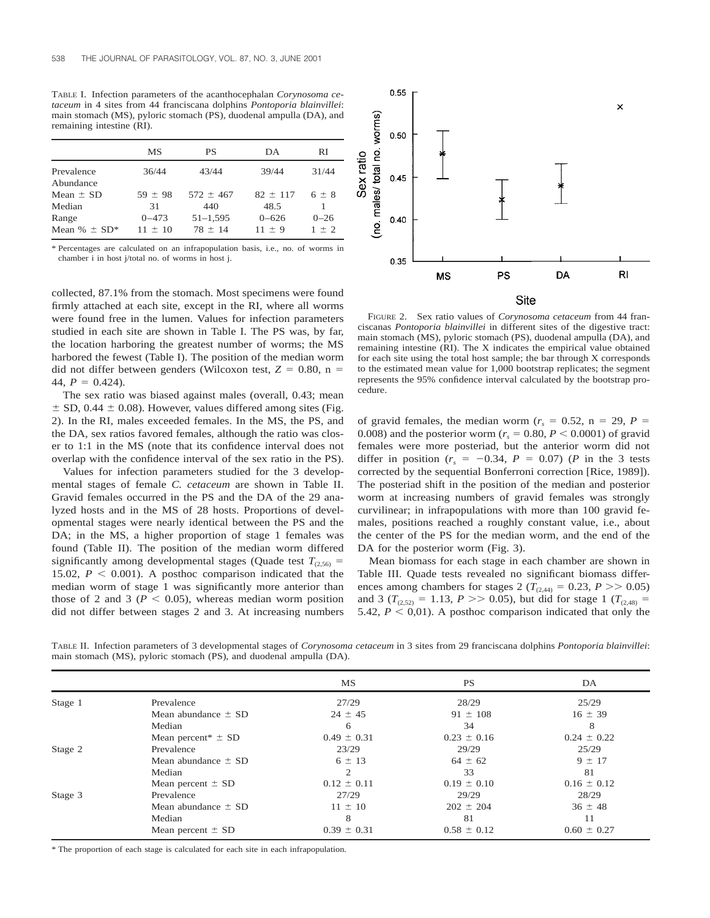TABLE I. Infection parameters of the acanthocephalan *Corynosoma cetaceum* in 4 sites from 44 franciscana dolphins *Pontoporia blainvillei*: main stomach (MS), pyloric stomach (PS), duodenal ampulla (DA), and remaining intestine (RI).

|                         | MS          | PS           | DA           | RI        |
|-------------------------|-------------|--------------|--------------|-----------|
| Prevalence<br>Abundance | 36/44       | 43/44        | 39/44        | 31/44     |
| Mean $\pm$ SD           | $59 \pm 98$ | $572 + 467$  | $82 \pm 117$ | $6 \pm 8$ |
| Median                  | 31          | 440          | 48.5         |           |
| Range                   | $0 - 473$   | $51 - 1,595$ | $0 - 626$    | $0 - 26$  |
| Mean $% \pm SD^*$       | $11 + 10$   | $78 + 14$    | $11 + 9$     | $1 + 2$   |

\* Percentages are calculated on an infrapopulation basis, i.e., no. of worms in chamber i in host j/total no. of worms in host j.

collected, 87.1% from the stomach. Most specimens were found firmly attached at each site, except in the RI, where all worms were found free in the lumen. Values for infection parameters studied in each site are shown in Table I. The PS was, by far, the location harboring the greatest number of worms; the MS harbored the fewest (Table I). The position of the median worm did not differ between genders (Wilcoxon test,  $Z = 0.80$ , n = 44,  $P = 0.424$ .

The sex ratio was biased against males (overall, 0.43; mean  $\pm$  SD, 0.44  $\pm$  0.08). However, values differed among sites (Fig. 2). In the RI, males exceeded females. In the MS, the PS, and the DA, sex ratios favored females, although the ratio was closer to 1:1 in the MS (note that its confidence interval does not overlap with the confidence interval of the sex ratio in the PS).

Values for infection parameters studied for the 3 developmental stages of female *C. cetaceum* are shown in Table II. Gravid females occurred in the PS and the DA of the 29 analyzed hosts and in the MS of 28 hosts. Proportions of developmental stages were nearly identical between the PS and the DA; in the MS, a higher proportion of stage 1 females was found (Table II). The position of the median worm differed significantly among developmental stages (Quade test  $T_{(2,56)}$  = 15.02,  $P < 0.001$ ). A posthoc comparison indicated that the median worm of stage 1 was significantly more anterior than those of 2 and 3 ( $P < 0.05$ ), whereas median worm position did not differ between stages 2 and 3. At increasing numbers



FIGURE 2. Sex ratio values of *Corynosoma cetaceum* from 44 franciscanas *Pontoporia blainvillei* in different sites of the digestive tract: main stomach (MS), pyloric stomach (PS), duodenal ampulla (DA), and remaining intestine (RI). The X indicates the empirical value obtained for each site using the total host sample; the bar through X corresponds to the estimated mean value for 1,000 bootstrap replicates; the segment represents the 95% confidence interval calculated by the bootstrap procedure.

of gravid females, the median worm ( $r_s = 0.52$ , n = 29, P = 0.008) and the posterior worm ( $r<sub>s</sub> = 0.80$ ,  $P < 0.0001$ ) of gravid females were more posteriad, but the anterior worm did not differ in position  $(r_s = -0.34, P = 0.07)$  (*P* in the 3 tests corrected by the sequential Bonferroni correction [Rice, 1989]). The posteriad shift in the position of the median and posterior worm at increasing numbers of gravid females was strongly curvilinear; in infrapopulations with more than 100 gravid females, positions reached a roughly constant value, i.e., about the center of the PS for the median worm, and the end of the DA for the posterior worm (Fig. 3).

Mean biomass for each stage in each chamber are shown in Table III. Quade tests revealed no significant biomass differences among chambers for stages 2 ( $T_{(2,44)} = 0.23$ ,  $P \gg 0.05$ ) and 3 ( $T_{(2,52)} = 1.13$ ,  $P \gg 0.05$ ), but did for stage 1 ( $T_{(2,48)} =$ 5.42,  $P < 0.01$ ). A posthoc comparison indicated that only the

TABLE II. Infection parameters of 3 developmental stages of *Corynosoma cetaceum* in 3 sites from 29 franciscana dolphins *Pontoporia blainvillei*: main stomach (MS), pyloric stomach (PS), and duodenal ampulla (DA).

|         |                                    | <b>MS</b>       | <b>PS</b>       | DA              |
|---------|------------------------------------|-----------------|-----------------|-----------------|
| Stage 1 | Prevalence                         | 27/29           | 28/29           | 25/29           |
|         | Mean abundance $\pm$ SD            | $24 \pm 45$     | $91 \pm 108$    | $16 \pm 39$     |
|         | Median                             | 6               | 34              | 8               |
|         | Mean percent <sup>*</sup> $\pm$ SD | $0.49 \pm 0.31$ | $0.23 \pm 0.16$ | $0.24 \pm 0.22$ |
| Stage 2 | Prevalence                         | 23/29           | 29/29           | 25/29           |
|         | Mean abundance $\pm$ SD            | $6 \pm 13$      | $64 \pm 62$     | $9 \pm 17$      |
|         | Median                             | 2               | 33              | 81              |
|         | Mean percent $\pm$ SD              | $0.12 \pm 0.11$ | $0.19 \pm 0.10$ | $0.16 \pm 0.12$ |
| Stage 3 | Prevalence                         | 27/29           | 29/29           | 28/29           |
|         | Mean abundance $\pm$ SD            | $11 \pm 10$     | $202 \pm 204$   | $36 \pm 48$     |
|         | Median                             | 8               | 81              | 11              |
|         | Mean percent $\pm$ SD              | $0.39 \pm 0.31$ | $0.58 \pm 0.12$ | $0.60 \pm 0.27$ |

\* The proportion of each stage is calculated for each site in each infrapopulation.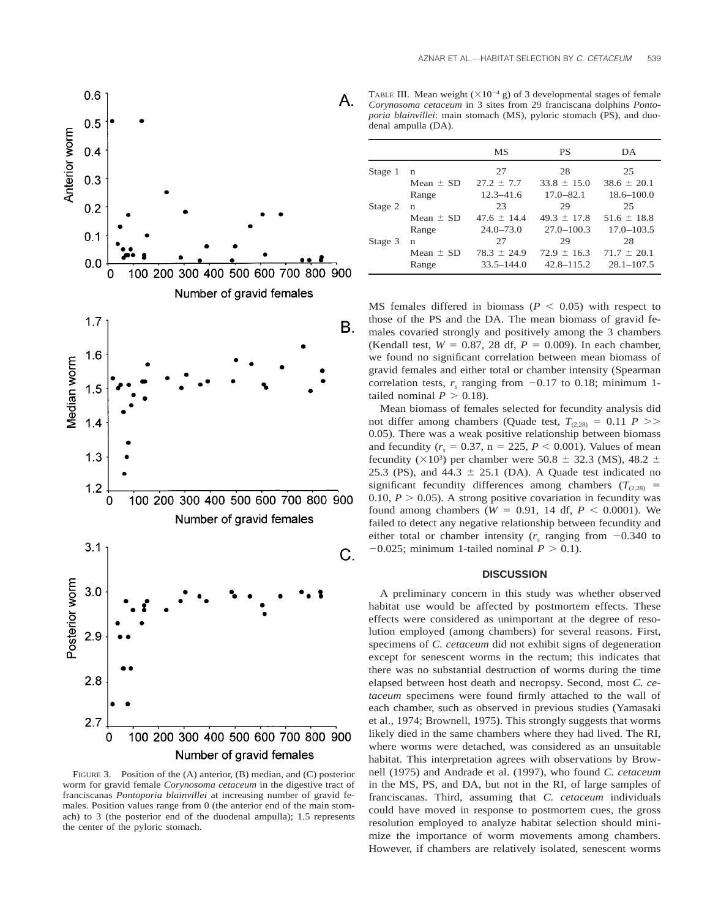

FIGURE 3. Position of the (A) anterior, (B) median, and (C) posterior worm for gravid female *Corynosoma cetaceum* in the digestive tract of franciscanas *Pontoporia blainvillei* at increasing number of gravid females. Position values range from 0 (the anterior end of the main stomach) to 3 (the posterior end of the duodenal ampulla); 1.5 represents the center of the pyloric stomach.

TABLE III. Mean weight  $(\times 10^{-4} \text{ g})$  of 3 developmental stages of female *Corynosoma cetaceum* in 3 sites from 29 franciscana dolphins *Pontoporia blainvillei*: main stomach (MS), pyloric stomach (PS), and duodenal ampulla (DA).

|         |               | MS              | <b>PS</b>       | DA.             |
|---------|---------------|-----------------|-----------------|-----------------|
| Stage 1 | n             | 27              | 28              | 25              |
|         | Mean $\pm$ SD | $27.2 \pm 7.7$  | $33.8 \pm 15.0$ | $38.6 \pm 20.1$ |
|         | Range         | $12.3 - 41.6$   | $17.0 - 82.1$   | $18.6 - 100.0$  |
| Stage 2 | n             | 23              | 29              | 25              |
|         | Mean $\pm$ SD | $47.6 \pm 14.4$ | $49.3 \pm 17.8$ | $51.6 \pm 18.8$ |
|         | Range         | $24.0 - 73.0$   | $27.0 - 100.3$  | $17.0 - 103.5$  |
| Stage 3 | n             | 27              | 29              | 28              |
|         | Mean $\pm$ SD | $78.3 \pm 24.9$ | $72.9 \pm 16.3$ | $71.7 \pm 20.1$ |
|         | Range         | $33.5 - 144.0$  | $42.8 - 115.2$  | $28.1 - 107.5$  |

MS females differed in biomass ( $P < 0.05$ ) with respect to those of the PS and the DA. The mean biomass of gravid females covaried strongly and positively among the 3 chambers (Kendall test,  $W = 0.87$ , 28 df,  $P = 0.009$ ). In each chamber, we found no significant correlation between mean biomass of gravid females and either total or chamber intensity (Spearman correlation tests,  $r_s$  ranging from  $-0.17$  to 0.18; minimum 1tailed nominal  $P > 0.18$ ).

Mean biomass of females selected for fecundity analysis did not differ among chambers (Quade test,  $T_{(2,28)} = 0.11$  *P* >> 0.05). There was a weak positive relationship between biomass and fecundity ( $r_s = 0.37$ , n = 225,  $P < 0.001$ ). Values of mean fecundity ( $\times$ 10<sup>3</sup>) per chamber were 50.8  $\pm$  32.3 (MS), 48.2  $\pm$ 25.3 (PS), and 44.3  $\pm$  25.1 (DA). A Quade test indicated no significant fecundity differences among chambers  $(T<sub>(2.28)</sub> =$ 0.10,  $P > 0.05$ ). A strong positive covariation in fecundity was found among chambers ( $W = 0.91$ , 14 df,  $P < 0.0001$ ). We failed to detect any negative relationship between fecundity and either total or chamber intensity  $(r<sub>s</sub>$  ranging from  $-0.340$  to  $-0.025$ ; minimum 1-tailed nominal  $P > 0.1$ ).

# **DISCUSSION**

A preliminary concern in this study was whether observed habitat use would be affected by postmortem effects. These effects were considered as unimportant at the degree of resolution employed (among chambers) for several reasons. First, specimens of *C. cetaceum* did not exhibit signs of degeneration except for senescent worms in the rectum; this indicates that there was no substantial destruction of worms during the time elapsed between host death and necropsy. Second, most *C. cetaceum* specimens were found firmly attached to the wall of each chamber, such as observed in previous studies (Yamasaki et al., 1974; Brownell, 1975). This strongly suggests that worms likely died in the same chambers where they had lived. The RI, where worms were detached, was considered as an unsuitable habitat. This interpretation agrees with observations by Brownell (1975) and Andrade et al. (1997), who found *C. cetaceum* in the MS, PS, and DA, but not in the RI, of large samples of franciscanas. Third, assuming that *C. cetaceum* individuals could have moved in response to postmortem cues, the gross resolution employed to analyze habitat selection should minimize the importance of worm movements among chambers. However, if chambers are relatively isolated, senescent worms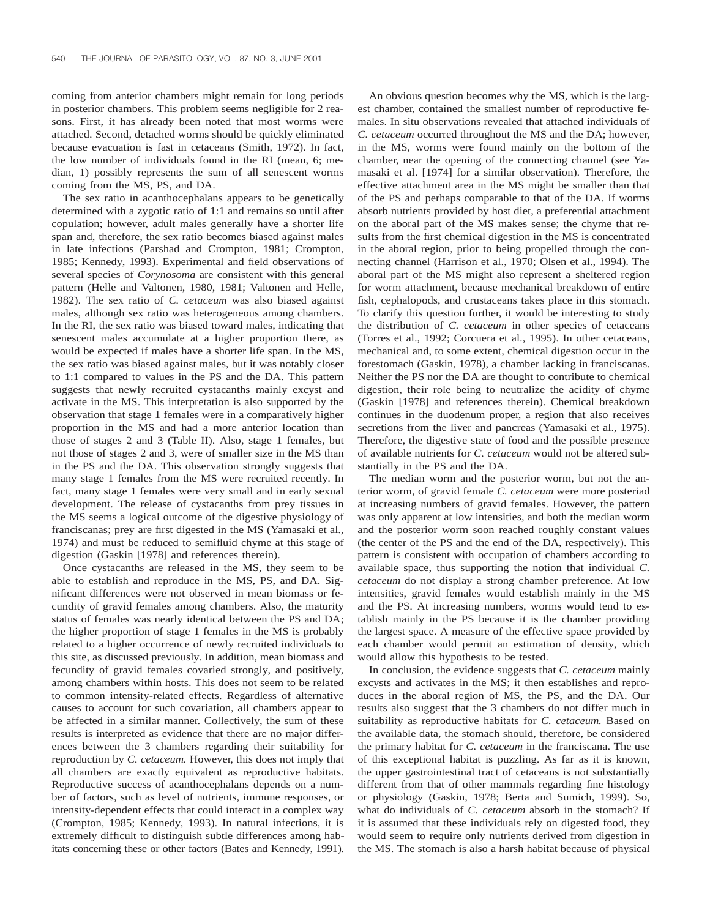coming from anterior chambers might remain for long periods in posterior chambers. This problem seems negligible for 2 reasons. First, it has already been noted that most worms were attached. Second, detached worms should be quickly eliminated because evacuation is fast in cetaceans (Smith, 1972). In fact, the low number of individuals found in the RI (mean, 6; median, 1) possibly represents the sum of all senescent worms coming from the MS, PS, and DA.

The sex ratio in acanthocephalans appears to be genetically determined with a zygotic ratio of 1:1 and remains so until after copulation; however, adult males generally have a shorter life span and, therefore, the sex ratio becomes biased against males in late infections (Parshad and Crompton, 1981; Crompton, 1985; Kennedy, 1993). Experimental and field observations of several species of *Corynosoma* are consistent with this general pattern (Helle and Valtonen, 1980, 1981; Valtonen and Helle, 1982). The sex ratio of *C. cetaceum* was also biased against males, although sex ratio was heterogeneous among chambers. In the RI, the sex ratio was biased toward males, indicating that senescent males accumulate at a higher proportion there, as would be expected if males have a shorter life span. In the MS, the sex ratio was biased against males, but it was notably closer to 1:1 compared to values in the PS and the DA. This pattern suggests that newly recruited cystacanths mainly excyst and activate in the MS. This interpretation is also supported by the observation that stage 1 females were in a comparatively higher proportion in the MS and had a more anterior location than those of stages 2 and 3 (Table II). Also, stage 1 females, but not those of stages 2 and 3, were of smaller size in the MS than in the PS and the DA. This observation strongly suggests that many stage 1 females from the MS were recruited recently. In fact, many stage 1 females were very small and in early sexual development. The release of cystacanths from prey tissues in the MS seems a logical outcome of the digestive physiology of franciscanas; prey are first digested in the MS (Yamasaki et al., 1974) and must be reduced to semifluid chyme at this stage of digestion (Gaskin [1978] and references therein).

Once cystacanths are released in the MS, they seem to be able to establish and reproduce in the MS, PS, and DA. Significant differences were not observed in mean biomass or fecundity of gravid females among chambers. Also, the maturity status of females was nearly identical between the PS and DA; the higher proportion of stage 1 females in the MS is probably related to a higher occurrence of newly recruited individuals to this site, as discussed previously. In addition, mean biomass and fecundity of gravid females covaried strongly, and positively, among chambers within hosts. This does not seem to be related to common intensity-related effects. Regardless of alternative causes to account for such covariation, all chambers appear to be affected in a similar manner. Collectively, the sum of these results is interpreted as evidence that there are no major differences between the 3 chambers regarding their suitability for reproduction by *C. cetaceum.* However, this does not imply that all chambers are exactly equivalent as reproductive habitats. Reproductive success of acanthocephalans depends on a number of factors, such as level of nutrients, immune responses, or intensity-dependent effects that could interact in a complex way (Crompton, 1985; Kennedy, 1993). In natural infections, it is extremely difficult to distinguish subtle differences among habitats concerning these or other factors (Bates and Kennedy, 1991).

An obvious question becomes why the MS, which is the largest chamber, contained the smallest number of reproductive females. In situ observations revealed that attached individuals of *C. cetaceum* occurred throughout the MS and the DA; however, in the MS, worms were found mainly on the bottom of the chamber, near the opening of the connecting channel (see Yamasaki et al. [1974] for a similar observation). Therefore, the effective attachment area in the MS might be smaller than that of the PS and perhaps comparable to that of the DA. If worms absorb nutrients provided by host diet, a preferential attachment on the aboral part of the MS makes sense; the chyme that results from the first chemical digestion in the MS is concentrated in the aboral region, prior to being propelled through the connecting channel (Harrison et al., 1970; Olsen et al., 1994). The aboral part of the MS might also represent a sheltered region for worm attachment, because mechanical breakdown of entire fish, cephalopods, and crustaceans takes place in this stomach. To clarify this question further, it would be interesting to study the distribution of *C. cetaceum* in other species of cetaceans (Torres et al., 1992; Corcuera et al., 1995). In other cetaceans, mechanical and, to some extent, chemical digestion occur in the forestomach (Gaskin, 1978), a chamber lacking in franciscanas. Neither the PS nor the DA are thought to contribute to chemical digestion, their role being to neutralize the acidity of chyme (Gaskin [1978] and references therein). Chemical breakdown continues in the duodenum proper, a region that also receives secretions from the liver and pancreas (Yamasaki et al., 1975). Therefore, the digestive state of food and the possible presence of available nutrients for *C. cetaceum* would not be altered substantially in the PS and the DA.

The median worm and the posterior worm, but not the anterior worm, of gravid female *C. cetaceum* were more posteriad at increasing numbers of gravid females. However, the pattern was only apparent at low intensities, and both the median worm and the posterior worm soon reached roughly constant values (the center of the PS and the end of the DA, respectively). This pattern is consistent with occupation of chambers according to available space, thus supporting the notion that individual *C. cetaceum* do not display a strong chamber preference. At low intensities, gravid females would establish mainly in the MS and the PS. At increasing numbers, worms would tend to establish mainly in the PS because it is the chamber providing the largest space. A measure of the effective space provided by each chamber would permit an estimation of density, which would allow this hypothesis to be tested.

In conclusion, the evidence suggests that *C. cetaceum* mainly excysts and activates in the MS; it then establishes and reproduces in the aboral region of MS, the PS, and the DA. Our results also suggest that the 3 chambers do not differ much in suitability as reproductive habitats for *C. cetaceum.* Based on the available data, the stomach should, therefore, be considered the primary habitat for *C. cetaceum* in the franciscana. The use of this exceptional habitat is puzzling. As far as it is known, the upper gastrointestinal tract of cetaceans is not substantially different from that of other mammals regarding fine histology or physiology (Gaskin, 1978; Berta and Sumich, 1999). So, what do individuals of *C. cetaceum* absorb in the stomach? If it is assumed that these individuals rely on digested food, they would seem to require only nutrients derived from digestion in the MS. The stomach is also a harsh habitat because of physical